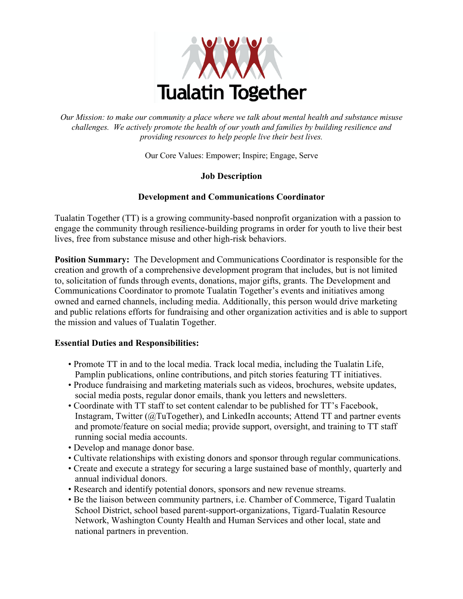

*Our Mission: to make our community a place where we talk about mental health and substance misuse challenges. We actively promote the health of our youth and families by building resilience and providing resources to help people live their best lives.*

Our Core Values: Empower; Inspire; Engage, Serve

# **Job Description**

# **Development and Communications Coordinator**

Tualatin Together (TT) is a growing community-based nonprofit organization with a passion to engage the community through resilience-building programs in order for youth to live their best lives, free from substance misuse and other high-risk behaviors.

**Position Summary:** The Development and Communications Coordinator is responsible for the creation and growth of a comprehensive development program that includes, but is not limited to, solicitation of funds through events, donations, major gifts, grants. The Development and Communications Coordinator to promote Tualatin Together's events and initiatives among owned and earned channels, including media. Additionally, this person would drive marketing and public relations efforts for fundraising and other organization activities and is able to support the mission and values of Tualatin Together.

### **Essential Duties and Responsibilities:**

- Promote TT in and to the local media. Track local media, including the Tualatin Life, Pamplin publications, online contributions, and pitch stories featuring TT initiatives.
- Produce fundraising and marketing materials such as videos, brochures, website updates, social media posts, regular donor emails, thank you letters and newsletters.
- Coordinate with TT staff to set content calendar to be published for TT's Facebook, Instagram, Twitter (@TuTogether), and LinkedIn accounts; Attend TT and partner events and promote/feature on social media; provide support, oversight, and training to TT staff running social media accounts.
- Develop and manage donor base.
- Cultivate relationships with existing donors and sponsor through regular communications.
- Create and execute a strategy for securing a large sustained base of monthly, quarterly and annual individual donors.
- Research and identify potential donors, sponsors and new revenue streams.
- Be the liaison between community partners, i.e. Chamber of Commerce, Tigard Tualatin School District, school based parent-support-organizations, Tigard-Tualatin Resource Network, Washington County Health and Human Services and other local, state and national partners in prevention.